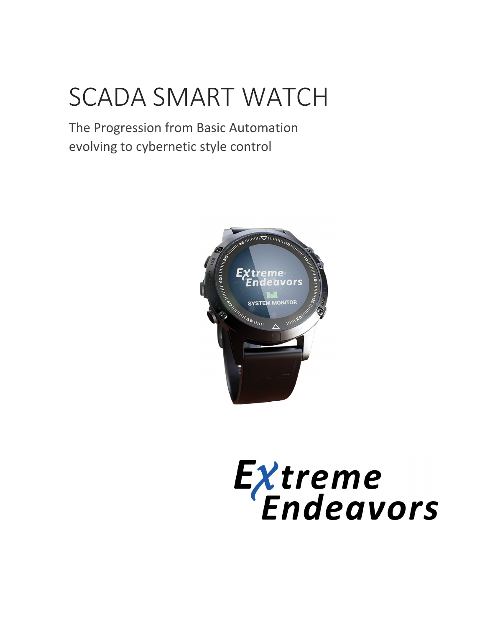# SCADA SMART WATCH

The Progression from Basic Automation evolving to cybernetic style control



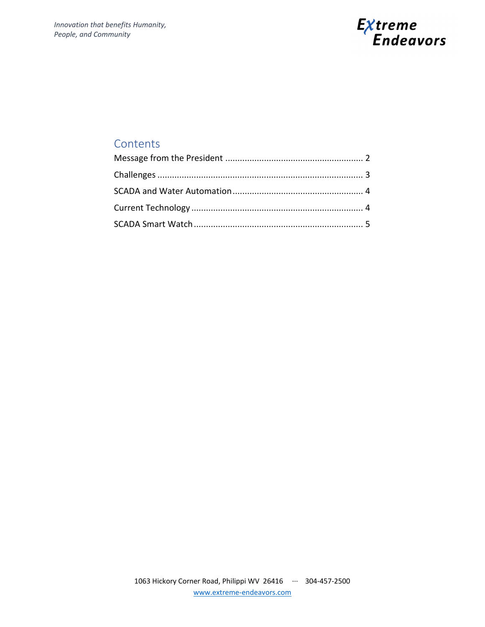

### **Contents**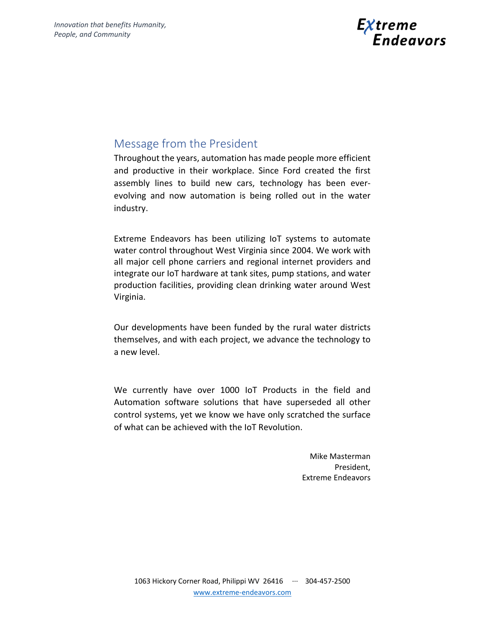

## Message from the President

Throughout the years, automation has made people more efficient and productive in their workplace. Since Ford created the first assembly lines to build new cars, technology has been ever‐ evolving and now automation is being rolled out in the water industry.

Extreme Endeavors has been utilizing IoT systems to automate water control throughout West Virginia since 2004. We work with all major cell phone carriers and regional internet providers and integrate our IoT hardware at tank sites, pump stations, and water production facilities, providing clean drinking water around West Virginia.

Our developments have been funded by the rural water districts themselves, and with each project, we advance the technology to a new level.

We currently have over 1000 IoT Products in the field and Automation software solutions that have superseded all other control systems, yet we know we have only scratched the surface of what can be achieved with the IoT Revolution.

> Mike Masterman President, Extreme Endeavors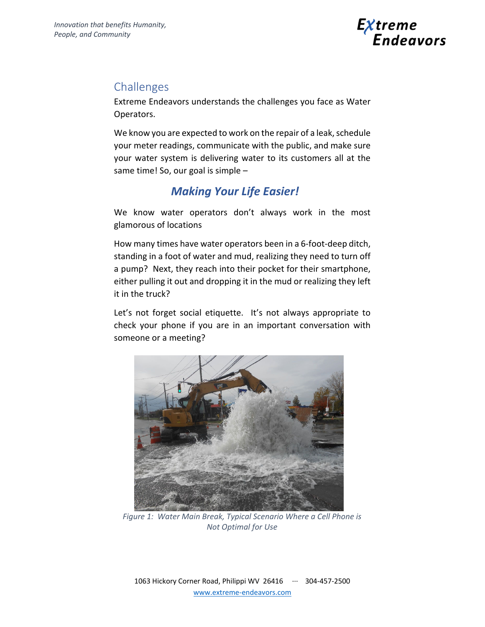

## Challenges

Extreme Endeavors understands the challenges you face as Water Operators.

We know you are expected to work on the repair of a leak, schedule your meter readings, communicate with the public, and make sure your water system is delivering water to its customers all at the same time! So, our goal is simple –

# *Making Your Life Easier!*

We know water operators don't always work in the most glamorous of locations

How many times have water operators been in a 6‐foot‐deep ditch, standing in a foot of water and mud, realizing they need to turn off a pump? Next, they reach into their pocket for their smartphone, either pulling it out and dropping it in the mud or realizing they left it in the truck?

Let's not forget social etiquette. It's not always appropriate to check your phone if you are in an important conversation with someone or a meeting?



*Figure 1: Water Main Break, Typical Scenario Where a Cell Phone is Not Optimal for Use*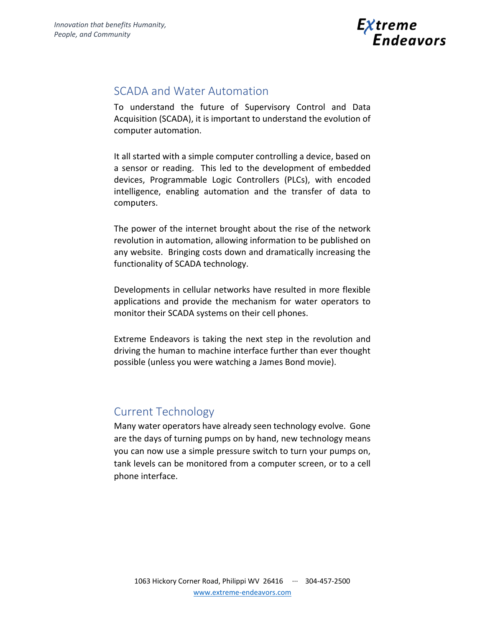

### SCADA and Water Automation

To understand the future of Supervisory Control and Data Acquisition (SCADA), it is important to understand the evolution of computer automation.

It all started with a simple computer controlling a device, based on a sensor or reading. This led to the development of embedded devices, Programmable Logic Controllers (PLCs), with encoded intelligence, enabling automation and the transfer of data to computers.

The power of the internet brought about the rise of the network revolution in automation, allowing information to be published on any website. Bringing costs down and dramatically increasing the functionality of SCADA technology.

Developments in cellular networks have resulted in more flexible applications and provide the mechanism for water operators to monitor their SCADA systems on their cell phones.

Extreme Endeavors is taking the next step in the revolution and driving the human to machine interface further than ever thought possible (unless you were watching a James Bond movie).

## Current Technology

Many water operators have already seen technology evolve. Gone are the days of turning pumps on by hand, new technology means you can now use a simple pressure switch to turn your pumps on, tank levels can be monitored from a computer screen, or to a cell phone interface.